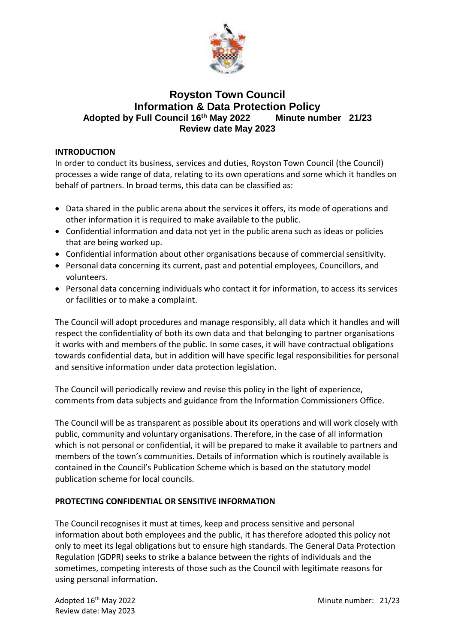

# **Royston Town Council Information & Data Protection Policy Adopted by Full Council 16th May 2022 Minute number 21/23 Review date May 2023**

### **INTRODUCTION**

In order to conduct its business, services and duties, Royston Town Council (the Council) processes a wide range of data, relating to its own operations and some which it handles on behalf of partners. In broad terms, this data can be classified as:

- Data shared in the public arena about the services it offers, its mode of operations and other information it is required to make available to the public.
- Confidential information and data not yet in the public arena such as ideas or policies that are being worked up.
- Confidential information about other organisations because of commercial sensitivity.
- Personal data concerning its current, past and potential employees, Councillors, and volunteers.
- Personal data concerning individuals who contact it for information, to access its services or facilities or to make a complaint.

The Council will adopt procedures and manage responsibly, all data which it handles and will respect the confidentiality of both its own data and that belonging to partner organisations it works with and members of the public. In some cases, it will have contractual obligations towards confidential data, but in addition will have specific legal responsibilities for personal and sensitive information under data protection legislation.

The Council will periodically review and revise this policy in the light of experience, comments from data subjects and guidance from the Information Commissioners Office.

The Council will be as transparent as possible about its operations and will work closely with public, community and voluntary organisations. Therefore, in the case of all information which is not personal or confidential, it will be prepared to make it available to partners and members of the town's communities. Details of information which is routinely available is contained in the Council's Publication Scheme which is based on the statutory model publication scheme for local councils.

# **PROTECTING CONFIDENTIAL OR SENSITIVE INFORMATION**

The Council recognises it must at times, keep and process sensitive and personal information about both employees and the public, it has therefore adopted this policy not only to meet its legal obligations but to ensure high standards. The General Data Protection Regulation (GDPR) seeks to strike a balance between the rights of individuals and the sometimes, competing interests of those such as the Council with legitimate reasons for using personal information.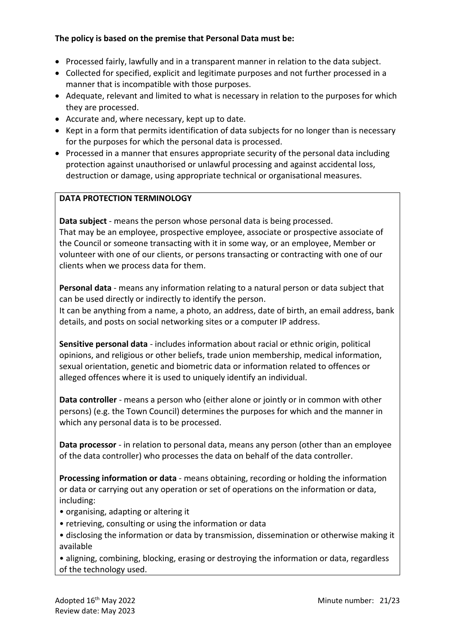# **The policy is based on the premise that Personal Data must be:**

- Processed fairly, lawfully and in a transparent manner in relation to the data subject.
- Collected for specified, explicit and legitimate purposes and not further processed in a manner that is incompatible with those purposes.
- Adequate, relevant and limited to what is necessary in relation to the purposes for which they are processed.
- Accurate and, where necessary, kept up to date.
- Kept in a form that permits identification of data subjects for no longer than is necessary for the purposes for which the personal data is processed.
- Processed in a manner that ensures appropriate security of the personal data including protection against unauthorised or unlawful processing and against accidental loss, destruction or damage, using appropriate technical or organisational measures.

# **DATA PROTECTION TERMINOLOGY**

**Data subject** - means the person whose personal data is being processed. That may be an employee, prospective employee, associate or prospective associate of the Council or someone transacting with it in some way, or an employee, Member or volunteer with one of our clients, or persons transacting or contracting with one of our clients when we process data for them.

**Personal data** - means any information relating to a natural person or data subject that can be used directly or indirectly to identify the person.

It can be anything from a name, a photo, an address, date of birth, an email address, bank details, and posts on social networking sites or a computer IP address.

**Sensitive personal data** - includes information about racial or ethnic origin, political opinions, and religious or other beliefs, trade union membership, medical information, sexual orientation, genetic and biometric data or information related to offences or alleged offences where it is used to uniquely identify an individual.

**Data controller** - means a person who (either alone or jointly or in common with other persons) (e.g. the Town Council) determines the purposes for which and the manner in which any personal data is to be processed.

**Data processor** - in relation to personal data, means any person (other than an employee of the data controller) who processes the data on behalf of the data controller.

**Processing information or data** - means obtaining, recording or holding the information or data or carrying out any operation or set of operations on the information or data, including:

- organising, adapting or altering it
- retrieving, consulting or using the information or data
- disclosing the information or data by transmission, dissemination or otherwise making it available

• aligning, combining, blocking, erasing or destroying the information or data, regardless of the technology used.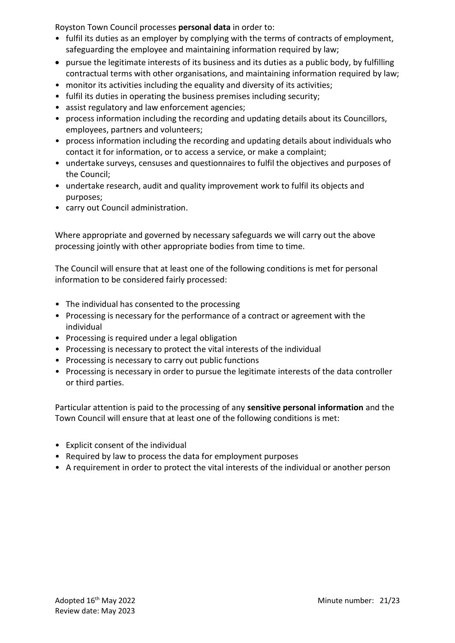Royston Town Council processes **personal data** in order to:

- fulfil its duties as an employer by complying with the terms of contracts of employment, safeguarding the employee and maintaining information required by law;
- pursue the legitimate interests of its business and its duties as a public body, by fulfilling contractual terms with other organisations, and maintaining information required by law;
- monitor its activities including the equality and diversity of its activities;
- fulfil its duties in operating the business premises including security;
- assist regulatory and law enforcement agencies;
- process information including the recording and updating details about its Councillors, employees, partners and volunteers;
- process information including the recording and updating details about individuals who contact it for information, or to access a service, or make a complaint;
- undertake surveys, censuses and questionnaires to fulfil the objectives and purposes of the Council;
- undertake research, audit and quality improvement work to fulfil its objects and purposes;
- carry out Council administration.

Where appropriate and governed by necessary safeguards we will carry out the above processing jointly with other appropriate bodies from time to time.

The Council will ensure that at least one of the following conditions is met for personal information to be considered fairly processed:

- The individual has consented to the processing
- Processing is necessary for the performance of a contract or agreement with the individual
- Processing is required under a legal obligation
- Processing is necessary to protect the vital interests of the individual
- Processing is necessary to carry out public functions
- Processing is necessary in order to pursue the legitimate interests of the data controller or third parties.

Particular attention is paid to the processing of any **sensitive personal information** and the Town Council will ensure that at least one of the following conditions is met:

- Explicit consent of the individual
- Required by law to process the data for employment purposes
- A requirement in order to protect the vital interests of the individual or another person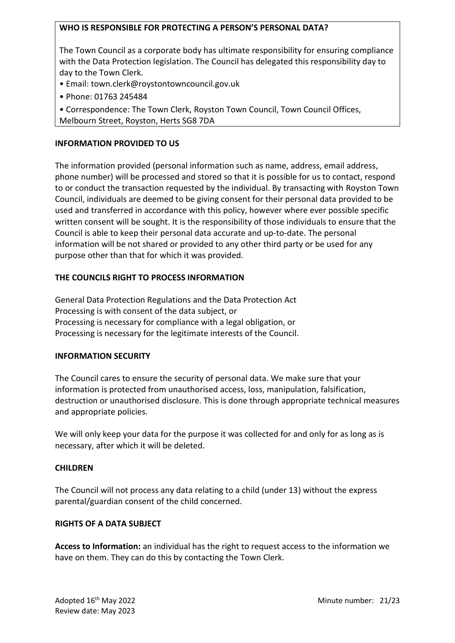#### **WHO IS RESPONSIBLE FOR PROTECTING A PERSON'S PERSONAL DATA?**

The Town Council as a corporate body has ultimate responsibility for ensuring compliance with the Data Protection legislation. The Council has delegated this responsibility day to day to the Town Clerk.

- Email: town.clerk@roystontowncouncil.gov.uk
- Phone: 01763 245484
- Correspondence: The Town Clerk, Royston Town Council, Town Council Offices, Melbourn Street, Royston, Herts SG8 7DA

# **INFORMATION PROVIDED TO US**

The information provided (personal information such as name, address, email address, phone number) will be processed and stored so that it is possible for us to contact, respond to or conduct the transaction requested by the individual. By transacting with Royston Town Council, individuals are deemed to be giving consent for their personal data provided to be used and transferred in accordance with this policy, however where ever possible specific written consent will be sought. It is the responsibility of those individuals to ensure that the Council is able to keep their personal data accurate and up-to-date. The personal information will be not shared or provided to any other third party or be used for any purpose other than that for which it was provided.

#### **THE COUNCILS RIGHT TO PROCESS INFORMATION**

General Data Protection Regulations and the Data Protection Act Processing is with consent of the data subject, or Processing is necessary for compliance with a legal obligation, or Processing is necessary for the legitimate interests of the Council.

#### **INFORMATION SECURITY**

The Council cares to ensure the security of personal data. We make sure that your information is protected from unauthorised access, loss, manipulation, falsification, destruction or unauthorised disclosure. This is done through appropriate technical measures and appropriate policies.

We will only keep your data for the purpose it was collected for and only for as long as is necessary, after which it will be deleted.

#### **CHILDREN**

The Council will not process any data relating to a child (under 13) without the express parental/guardian consent of the child concerned.

#### **RIGHTS OF A DATA SUBJECT**

**Access to Information:** an individual has the right to request access to the information we have on them. They can do this by contacting the Town Clerk.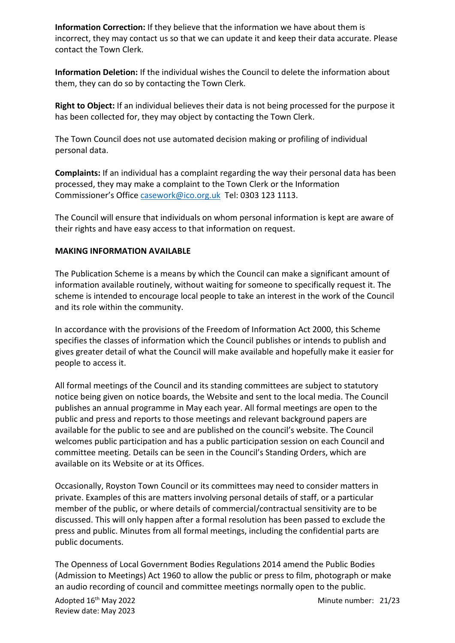**Information Correction:** If they believe that the information we have about them is incorrect, they may contact us so that we can update it and keep their data accurate. Please contact the Town Clerk.

**Information Deletion:** If the individual wishes the Council to delete the information about them, they can do so by contacting the Town Clerk.

**Right to Object:** If an individual believes their data is not being processed for the purpose it has been collected for, they may object by contacting the Town Clerk.

The Town Council does not use automated decision making or profiling of individual personal data.

**Complaints:** If an individual has a complaint regarding the way their personal data has been processed, they may make a complaint to the Town Clerk or the Information Commissioner's Office [casework@ico.org.uk](mailto:casework@ico.org.uk) Tel: 0303 123 1113.

The Council will ensure that individuals on whom personal information is kept are aware of their rights and have easy access to that information on request.

# **MAKING INFORMATION AVAILABLE**

The Publication Scheme is a means by which the Council can make a significant amount of information available routinely, without waiting for someone to specifically request it. The scheme is intended to encourage local people to take an interest in the work of the Council and its role within the community.

In accordance with the provisions of the Freedom of Information Act 2000, this Scheme specifies the classes of information which the Council publishes or intends to publish and gives greater detail of what the Council will make available and hopefully make it easier for people to access it.

All formal meetings of the Council and its standing committees are subject to statutory notice being given on notice boards, the Website and sent to the local media. The Council publishes an annual programme in May each year. All formal meetings are open to the public and press and reports to those meetings and relevant background papers are available for the public to see and are published on the council's website. The Council welcomes public participation and has a public participation session on each Council and committee meeting. Details can be seen in the Council's Standing Orders, which are available on its Website or at its Offices.

Occasionally, Royston Town Council or its committees may need to consider matters in private. Examples of this are matters involving personal details of staff, or a particular member of the public, or where details of commercial/contractual sensitivity are to be discussed. This will only happen after a formal resolution has been passed to exclude the press and public. Minutes from all formal meetings, including the confidential parts are public documents.

The Openness of Local Government Bodies Regulations 2014 amend the Public Bodies (Admission to Meetings) Act 1960 to allow the public or press to film, photograph or make an audio recording of council and committee meetings normally open to the public.